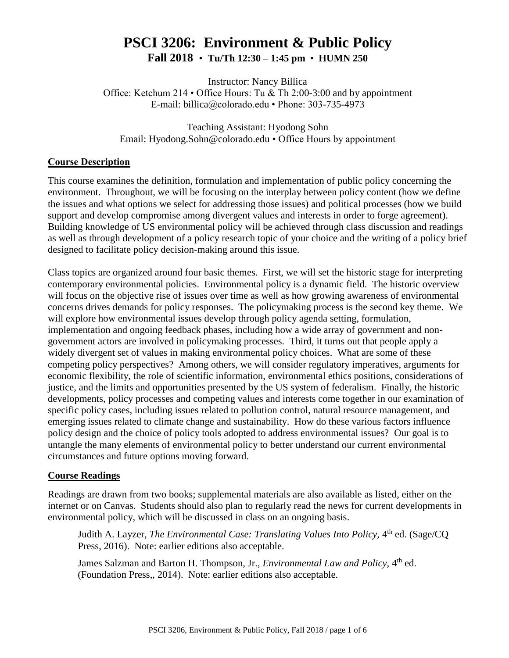# **PSCI 3206: Environment & Public Policy Fall 2018** • **Tu/Th 12:30 – 1:45 pm** • **HUMN 250**

Instructor: Nancy Billica Office: Ketchum 214 • Office Hours: Tu & Th 2:00-3:00 and by appointment E-mail: billica@colorado.edu • Phone: 303-735-4973

Teaching Assistant: Hyodong Sohn Email: Hyodong.Sohn@colorado.edu • Office Hours by appointment

#### **Course Description**

This course examines the definition, formulation and implementation of public policy concerning the environment. Throughout, we will be focusing on the interplay between policy content (how we define the issues and what options we select for addressing those issues) and political processes (how we build support and develop compromise among divergent values and interests in order to forge agreement). Building knowledge of US environmental policy will be achieved through class discussion and readings as well as through development of a policy research topic of your choice and the writing of a policy brief designed to facilitate policy decision-making around this issue.

Class topics are organized around four basic themes. First, we will set the historic stage for interpreting contemporary environmental policies. Environmental policy is a dynamic field. The historic overview will focus on the objective rise of issues over time as well as how growing awareness of environmental concerns drives demands for policy responses. The policymaking process is the second key theme. We will explore how environmental issues develop through policy agenda setting, formulation, implementation and ongoing feedback phases, including how a wide array of government and nongovernment actors are involved in policymaking processes. Third, it turns out that people apply a widely divergent set of values in making environmental policy choices. What are some of these competing policy perspectives? Among others, we will consider regulatory imperatives, arguments for economic flexibility, the role of scientific information, environmental ethics positions, considerations of justice, and the limits and opportunities presented by the US system of federalism. Finally, the historic developments, policy processes and competing values and interests come together in our examination of specific policy cases, including issues related to pollution control, natural resource management, and emerging issues related to climate change and sustainability. How do these various factors influence policy design and the choice of policy tools adopted to address environmental issues? Our goal is to untangle the many elements of environmental policy to better understand our current environmental circumstances and future options moving forward.

#### **Course Readings**

Readings are drawn from two books; supplemental materials are also available as listed, either on the internet or on Canvas. Students should also plan to regularly read the news for current developments in environmental policy, which will be discussed in class on an ongoing basis.

Judith A. Layzer, *The Environmental Case: Translating Values Into Policy*, 4<sup>th</sup> ed. (Sage/CQ Press, 2016). Note: earlier editions also acceptable.

James Salzman and Barton H. Thompson, Jr., *Environmental Law and Policy*, 4<sup>th</sup> ed. (Foundation Press,, 2014). Note: earlier editions also acceptable.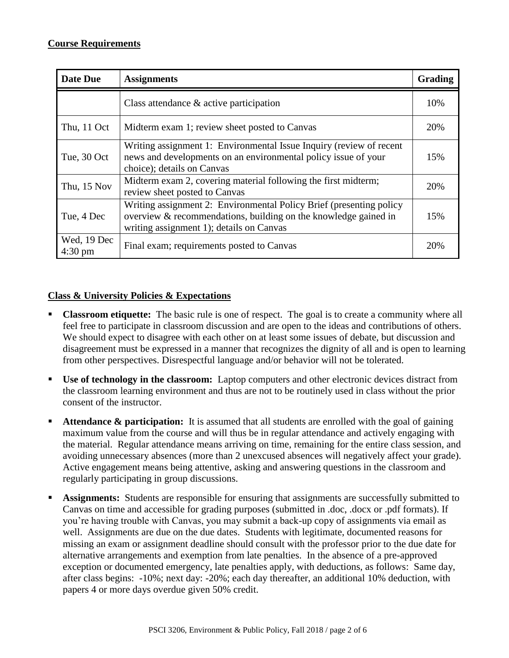| <b>Date Due</b>                  | <b>Assignments</b>                                                                                                                                                                 | Grading |
|----------------------------------|------------------------------------------------------------------------------------------------------------------------------------------------------------------------------------|---------|
|                                  | Class attendance $\&$ active participation                                                                                                                                         | 10%     |
| Thu, 11 Oct                      | Midterm exam 1; review sheet posted to Canvas                                                                                                                                      | 20%     |
| Tue, 30 Oct                      | Writing assignment 1: Environmental Issue Inquiry (review of recent<br>news and developments on an environmental policy issue of your<br>choice); details on Canvas                | 15%     |
| Thu, 15 Nov                      | Midterm exam 2, covering material following the first midterm;<br>review sheet posted to Canvas                                                                                    | 20%     |
| Tue, 4 Dec                       | Writing assignment 2: Environmental Policy Brief (presenting policy<br>overview & recommendations, building on the knowledge gained in<br>writing assignment 1); details on Canvas | 15%     |
| Wed, 19 Dec<br>$4:30 \text{ pm}$ | Final exam; requirements posted to Canvas                                                                                                                                          | 20%     |

#### **Class & University Policies & Expectations**

- **Classroom etiquette:** The basic rule is one of respect. The goal is to create a community where all feel free to participate in classroom discussion and are open to the ideas and contributions of others. We should expect to disagree with each other on at least some issues of debate, but discussion and disagreement must be expressed in a manner that recognizes the dignity of all and is open to learning from other perspectives. Disrespectful language and/or behavior will not be tolerated.
- **Use of technology in the classroom:** Laptop computers and other electronic devices distract from the classroom learning environment and thus are not to be routinely used in class without the prior consent of the instructor.
- **Attendance & participation:** It is assumed that all students are enrolled with the goal of gaining maximum value from the course and will thus be in regular attendance and actively engaging with the material. Regular attendance means arriving on time, remaining for the entire class session, and avoiding unnecessary absences (more than 2 unexcused absences will negatively affect your grade). Active engagement means being attentive, asking and answering questions in the classroom and regularly participating in group discussions.
- **Assignments:** Students are responsible for ensuring that assignments are successfully submitted to Canvas on time and accessible for grading purposes (submitted in .doc, .docx or .pdf formats). If you're having trouble with Canvas, you may submit a back-up copy of assignments via email as well. Assignments are due on the due dates. Students with legitimate, documented reasons for missing an exam or assignment deadline should consult with the professor prior to the due date for alternative arrangements and exemption from late penalties. In the absence of a pre-approved exception or documented emergency, late penalties apply, with deductions, as follows: Same day, after class begins: -10%; next day: -20%; each day thereafter, an additional 10% deduction, with papers 4 or more days overdue given 50% credit.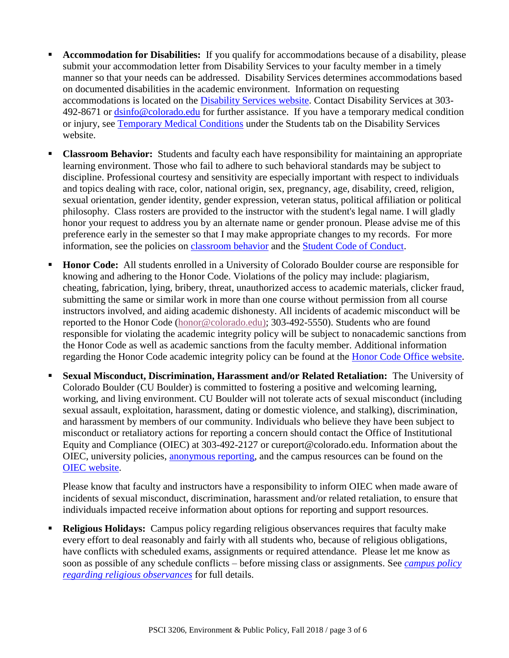- **Accommodation for Disabilities:** If you qualify for accommodations because of a disability, please submit your accommodation letter from Disability Services to your faculty member in a timely manner so that your needs can be addressed. Disability Services determines accommodations based on documented disabilities in the academic environment. Information on requesting accommodations is located on the [Disability Services website.](http://www.colorado.edu/disabilityservices/students) Contact Disability Services at 303- 492-8671 or [dsinfo@colorado.edu](mailto:dsinfo@colorado.edu) for further assistance. If you have a temporary medical condition or injury, see [Temporary Medical Conditions](http://www.colorado.edu/disabilityservices/students/temporary-medical-conditions) under the Students tab on the Disability Services website.
- **Classroom Behavior:** Students and faculty each have responsibility for maintaining an appropriate learning environment. Those who fail to adhere to such behavioral standards may be subject to discipline. Professional courtesy and sensitivity are especially important with respect to individuals and topics dealing with race, color, national origin, sex, pregnancy, age, disability, creed, religion, sexual orientation, gender identity, gender expression, veteran status, political affiliation or political philosophy. Class rosters are provided to the instructor with the student's legal name. I will gladly honor your request to address you by an alternate name or gender pronoun. Please advise me of this preference early in the semester so that I may make appropriate changes to my records. For more information, see the policies on [classroom behavior](http://www.colorado.edu/policies/student-classroom-and-course-related-behavior) and the [Student Code of Conduct.](http://www.colorado.edu/osccr/)
- **Honor Code:** All students enrolled in a University of Colorado Boulder course are responsible for knowing and adhering to the Honor Code. Violations of the policy may include: plagiarism, cheating, fabrication, lying, bribery, threat, unauthorized access to academic materials, clicker fraud, submitting the same or similar work in more than one course without permission from all course instructors involved, and aiding academic dishonesty. All incidents of academic misconduct will be reported to the Honor Code [\(honor@colorado.edu\)](mailto:honor@colorado.edu); 303-492-5550). Students who are found responsible for violating the academic integrity policy will be subject to nonacademic sanctions from the Honor Code as well as academic sanctions from the faculty member. Additional information regarding the Honor Code academic integrity policy can be found at the [Honor Code Office website.](https://www.colorado.edu/osccr/honor-code)
- **Sexual Misconduct, Discrimination, Harassment and/or Related Retaliation:** The University of Colorado Boulder (CU Boulder) is committed to fostering a positive and welcoming learning, working, and living environment. CU Boulder will not tolerate acts of sexual misconduct (including sexual assault, exploitation, harassment, dating or domestic violence, and stalking), discrimination, and harassment by members of our community. Individuals who believe they have been subject to misconduct or retaliatory actions for reporting a concern should contact the Office of Institutional Equity and Compliance (OIEC) at 303-492-2127 or cureport@colorado.edu. Information about the OIEC, university policies, [anonymous reporting,](https://cuboulder.qualtrics.com/jfe/form/SV_0PnqVK4kkIJIZnf) and the campus resources can be found on the [OIEC website.](http://www.colorado.edu/institutionalequity/)

Please know that faculty and instructors have a responsibility to inform OIEC when made aware of incidents of sexual misconduct, discrimination, harassment and/or related retaliation, to ensure that individuals impacted receive information about options for reporting and support resources.

 **Religious Holidays:** Campus policy regarding religious observances requires that faculty make every effort to deal reasonably and fairly with all students who, because of religious obligations, have conflicts with scheduled exams, assignments or required attendance. Please let me know as soon as possible of any schedule conflicts – before missing class or assignments. See *[campus policy](http://www.colorado.edu/policies/observance-religious-holidays-and-absences-classes-andor-exams)  [regarding religious observances](http://www.colorado.edu/policies/observance-religious-holidays-and-absences-classes-andor-exams)* for full details.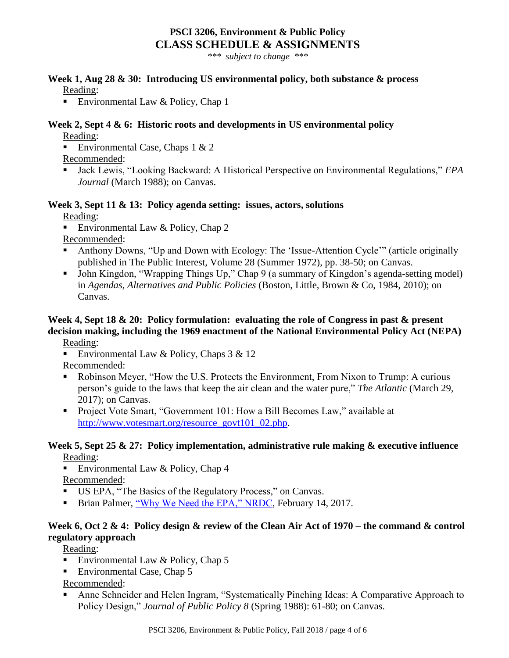#### **PSCI 3206, Environment & Public Policy CLASS SCHEDULE & ASSIGNMENTS**

*\*\*\* subject to change \*\*\**

#### **Week 1, Aug 28 & 30: Introducing US environmental policy, both substance & process** Reading:

Environmental Law & Policy, Chap 1

#### **Week 2, Sept 4 & 6: Historic roots and developments in US environmental policy** Reading:

**Environmental Case, Chaps 1 & 2** Recommended:

■ Jack Lewis, "Looking Backward: A Historical Perspective on Environmental Regulations," *EPA Journal* (March 1988); on Canvas.

## **Week 3, Sept 11 & 13: Policy agenda setting: issues, actors, solutions**

Reading:

Environmental Law & Policy, Chap 2

Recommended:

- Anthony Downs, "Up and Down with Ecology: The 'Issue-Attention Cycle'" (article originally published in The Public Interest, Volume 28 (Summer 1972), pp. 38-50; on Canvas.
- John Kingdon, "Wrapping Things Up," Chap 9 (a summary of Kingdon's agenda-setting model) in *Agendas, Alternatives and Public Policies* (Boston, Little, Brown & Co, 1984, 2010); on Canvas.

## **Week 4, Sept 18 & 20: Policy formulation: evaluating the role of Congress in past & present decision making, including the 1969 enactment of the National Environmental Policy Act (NEPA)**

Reading:

Environmental Law & Policy, Chaps  $3 < 12$ 

Recommended:

- Robinson Meyer, "How the U.S. Protects the Environment, From Nixon to Trump: A curious person's guide to the laws that keep the air clean and the water pure," *The Atlantic* (March 29, 2017); on Canvas.
- Project Vote Smart, "Government 101: How a Bill Becomes Law," available at [http://www.votesmart.org/resource\\_govt101\\_02.php.](http://www.votesmart.org/resource_govt101_02.php)

#### **Week 5, Sept 25 & 27: Policy implementation, administrative rule making & executive influence** Reading:

Environmental Law & Policy, Chap  $4$ 

Recommended:

- US EPA, "The Basics of the Regulatory Process," on Canvas.
- **Brian Palmer, ["Why We Need the EPA," NRDC,](https://www.nrdc.org/stories/why-we-need-epa?gclid=CjwKCAjwtIXbBRBhEiwAWV-5nvUMraJNdWNR9KbXzmWm2qKvk0694MUTIag1AZZqmE-KWk0YeK8m3RoCJ-UQAvD_BwE) February 14, 2017.**

#### **Week 6, Oct 2 & 4: Policy design & review of the Clean Air Act of 1970 – the command & control regulatory approach**

Reading:

- Environmental Law & Policy, Chap  $5$
- Environmental Case, Chap 5

Recommended:

 Anne Schneider and Helen Ingram, "Systematically Pinching Ideas: A Comparative Approach to Policy Design," *Journal of Public Policy 8* (Spring 1988): 61-80; on Canvas.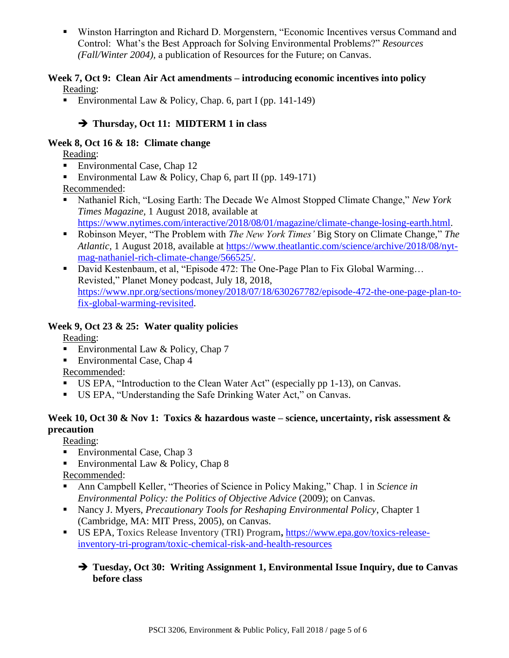Winston Harrington and Richard D. Morgenstern, "Economic Incentives versus Command and Control: What's the Best Approach for Solving Environmental Problems?" *Resources (Fall/Winter 2004),* a publication of Resources for the Future; on Canvas.

#### **Week 7, Oct 9: Clean Air Act amendments – introducing economic incentives into policy** Reading:

Environmental Law & Policy, Chap. 6, part I (pp. 141-149)

## **Thursday, Oct 11: MIDTERM 1 in class**

#### **Week 8, Oct 16 & 18: Climate change**

Reading:

- Environmental Case, Chap 12
- Environmental Law & Policy, Chap 6, part II (pp. 149-171)

Recommended:

- Nathaniel Rich, "Losing Earth: The Decade We Almost Stopped Climate Change," *New York Times Magazine,* 1 August 2018, available at [https://www.nytimes.com/interactive/2018/08/01/magazine/climate-change-losing-earth.html.](https://www.nytimes.com/interactive/2018/08/01/magazine/climate-change-losing-earth.html)
- Robinson Meyer, "The Problem with *The New York Times'* Big Story on Climate Change," *The Atlantic,* 1 August 2018, available at [https://www.theatlantic.com/science/archive/2018/08/nyt](https://www.theatlantic.com/science/archive/2018/08/nyt-mag-nathaniel-rich-climate-change/566525/)[mag-nathaniel-rich-climate-change/566525/.](https://www.theatlantic.com/science/archive/2018/08/nyt-mag-nathaniel-rich-climate-change/566525/)
- David Kestenbaum, et al, "Episode 472: The One-Page Plan to Fix Global Warming... Revisted," Planet Money podcast, July 18, 2018, [https://www.npr.org/sections/money/2018/07/18/630267782/episode-472-the-one-page-plan-to](https://www.npr.org/sections/money/2018/07/18/630267782/episode-472-the-one-page-plan-to-fix-global-warming-revisited)[fix-global-warming-revisited.](https://www.npr.org/sections/money/2018/07/18/630267782/episode-472-the-one-page-plan-to-fix-global-warming-revisited)

#### **Week 9, Oct 23 & 25: Water quality policies**

Reading:

- Environmental Law  $&$  Policy, Chap 7
- Environmental Case, Chap 4

Recommended:

- US EPA, "Introduction to the Clean Water Act" (especially pp 1-13), on Canvas.
- US EPA, "Understanding the Safe Drinking Water Act," on Canvas.

### **Week 10, Oct 30 & Nov 1: Toxics & hazardous waste – science, uncertainty, risk assessment & precaution**

Reading:

- **Environmental Case, Chap 3**
- Environmental Law & Policy, Chap  $8$

Recommended:

- Ann Campbell Keller, "Theories of Science in Policy Making," Chap. 1 in *Science in Environmental Policy: the Politics of Objective Advice (2009); on Canvas.*
- Nancy J. Myers, *Precautionary Tools for Reshaping Environmental Policy*, Chapter 1 (Cambridge, MA: MIT Press, 2005), on Canvas.
- US EPA, Toxics Release Inventory (TRI) Program**,** [https://www.epa.gov/toxics-release](https://www.epa.gov/toxics-release-inventory-tri-program/toxic-chemical-risk-and-health-resources)[inventory-tri-program/toxic-chemical-risk-and-health-resources](https://www.epa.gov/toxics-release-inventory-tri-program/toxic-chemical-risk-and-health-resources)

#### **Tuesday, Oct 30: Writing Assignment 1, Environmental Issue Inquiry, due to Canvas before class**